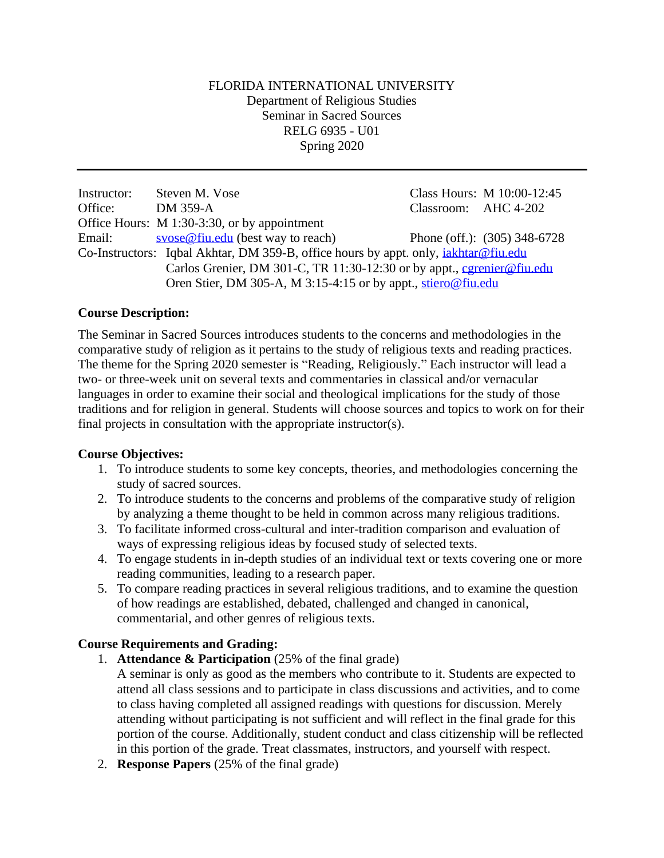## FLORIDA INTERNATIONAL UNIVERSITY Department of Religious Studies Seminar in Sacred Sources RELG 6935 - U01 Spring 2020

Instructor: Steven M. Vose Class Hours: M 10:00-12:45 Office: DM 359-A Classroom: AHC 4-202 Office Hours: M 1:30-3:30, or by appointment Email: [svose@fiu.edu](mailto:svose@fiu.edu) (best way to reach) Phone (off.): (305) 348-6728 Co-Instructors: Iqbal Akhtar, DM 359-B, office hours by appt. only, [iakhtar@fiu.edu](mailto:iakhtar@fiu.edu) Carlos Grenier, DM 301-C, TR 11:30-12:30 or by appt., [cgrenier@fiu.edu](mailto:cgrenier@fiu.edu) Oren Stier, DM 305-A, M 3:15-4:15 or by appt., [stiero@fiu.edu](mailto:stiero@fiu.edu)

## **Course Description:**

The Seminar in Sacred Sources introduces students to the concerns and methodologies in the comparative study of religion as it pertains to the study of religious texts and reading practices. The theme for the Spring 2020 semester is "Reading, Religiously." Each instructor will lead a two- or three-week unit on several texts and commentaries in classical and/or vernacular languages in order to examine their social and theological implications for the study of those traditions and for religion in general. Students will choose sources and topics to work on for their final projects in consultation with the appropriate instructor(s).

## **Course Objectives:**

- 1. To introduce students to some key concepts, theories, and methodologies concerning the study of sacred sources.
- 2. To introduce students to the concerns and problems of the comparative study of religion by analyzing a theme thought to be held in common across many religious traditions.
- 3. To facilitate informed cross-cultural and inter-tradition comparison and evaluation of ways of expressing religious ideas by focused study of selected texts.
- 4. To engage students in in-depth studies of an individual text or texts covering one or more reading communities, leading to a research paper.
- 5. To compare reading practices in several religious traditions, and to examine the question of how readings are established, debated, challenged and changed in canonical, commentarial, and other genres of religious texts.

# **Course Requirements and Grading:**

- 1. **Attendance & Participation** (25% of the final grade)
	- A seminar is only as good as the members who contribute to it. Students are expected to attend all class sessions and to participate in class discussions and activities, and to come to class having completed all assigned readings with questions for discussion. Merely attending without participating is not sufficient and will reflect in the final grade for this portion of the course. Additionally, student conduct and class citizenship will be reflected in this portion of the grade. Treat classmates, instructors, and yourself with respect.
- 2. **Response Papers** (25% of the final grade)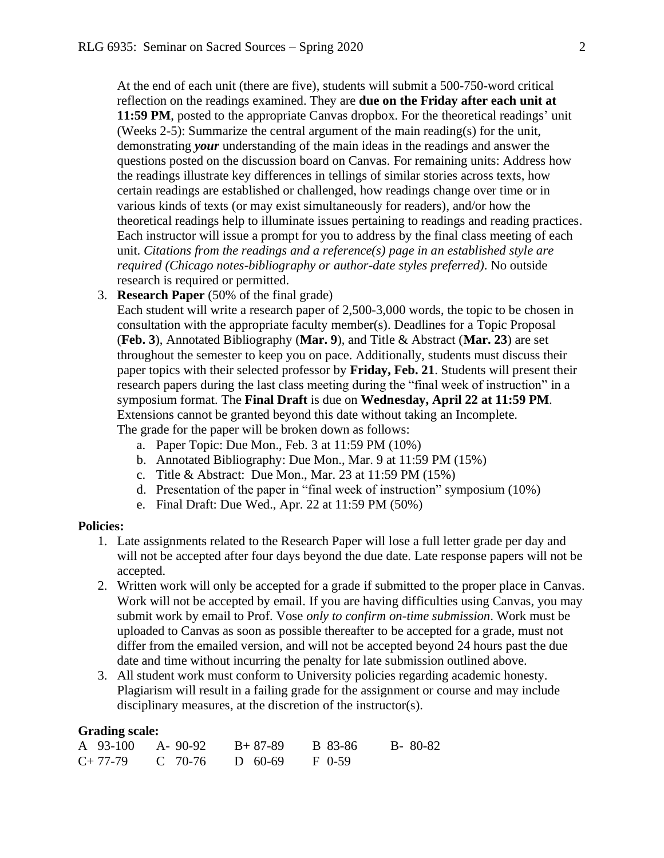At the end of each unit (there are five), students will submit a 500-750-word critical reflection on the readings examined. They are **due on the Friday after each unit at 11:59 PM**, posted to the appropriate Canvas dropbox. For the theoretical readings' unit (Weeks 2-5): Summarize the central argument of the main reading(s) for the unit, demonstrating *your* understanding of the main ideas in the readings and answer the questions posted on the discussion board on Canvas. For remaining units: Address how the readings illustrate key differences in tellings of similar stories across texts, how certain readings are established or challenged, how readings change over time or in various kinds of texts (or may exist simultaneously for readers), and/or how the theoretical readings help to illuminate issues pertaining to readings and reading practices. Each instructor will issue a prompt for you to address by the final class meeting of each unit. *Citations from the readings and a reference(s) page in an established style are required (Chicago notes-bibliography or author-date styles preferred)*. No outside research is required or permitted.

3. **Research Paper** (50% of the final grade)

Each student will write a research paper of 2,500-3,000 words, the topic to be chosen in consultation with the appropriate faculty member(s). Deadlines for a Topic Proposal (**Feb. 3**), Annotated Bibliography (**Mar. 9**), and Title & Abstract (**Mar. 23**) are set throughout the semester to keep you on pace. Additionally, students must discuss their paper topics with their selected professor by **Friday, Feb. 21**. Students will present their research papers during the last class meeting during the "final week of instruction" in a symposium format. The **Final Draft** is due on **Wednesday, April 22 at 11:59 PM**. Extensions cannot be granted beyond this date without taking an Incomplete. The grade for the paper will be broken down as follows:

- a. Paper Topic: Due Mon., Feb. 3 at 11:59 PM (10%)
- b. Annotated Bibliography: Due Mon., Mar. 9 at 11:59 PM (15%)
- c. Title & Abstract: Due Mon., Mar. 23 at 11:59 PM (15%)
- d. Presentation of the paper in "final week of instruction" symposium (10%)
- e. Final Draft: Due Wed., Apr. 22 at 11:59 PM (50%)

#### **Policies:**

- 1. Late assignments related to the Research Paper will lose a full letter grade per day and will not be accepted after four days beyond the due date. Late response papers will not be accepted.
- 2. Written work will only be accepted for a grade if submitted to the proper place in Canvas. Work will not be accepted by email. If you are having difficulties using Canvas, you may submit work by email to Prof. Vose *only to confirm on-time submission*. Work must be uploaded to Canvas as soon as possible thereafter to be accepted for a grade, must not differ from the emailed version, and will not be accepted beyond 24 hours past the due date and time without incurring the penalty for late submission outlined above.
- 3. All student work must conform to University policies regarding academic honesty. Plagiarism will result in a failing grade for the assignment or course and may include disciplinary measures, at the discretion of the instructor(s).

#### **Grading scale:**

|           | A $93-100$ A- $90-92$ B+ 87-89 |         | B 83-86 | $B - 80 - 82$ |
|-----------|--------------------------------|---------|---------|---------------|
| $C+77-79$ | C 70-76                        | D 60-69 | F 0-59  |               |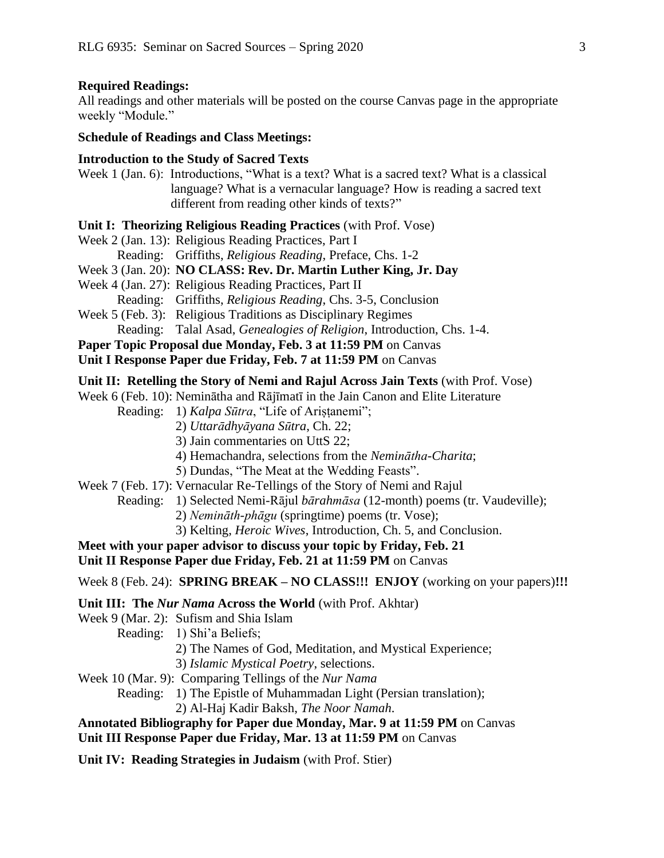#### **Required Readings:**

All readings and other materials will be posted on the course Canvas page in the appropriate weekly "Module."

#### **Schedule of Readings and Class Meetings:**

#### **Introduction to the Study of Sacred Texts**

Week 1 (Jan. 6): Introductions, "What is a text? What is a sacred text? What is a classical language? What is a vernacular language? How is reading a sacred text different from reading other kinds of texts?"

#### **Unit I: Theorizing Religious Reading Practices** (with Prof. Vose)

- Week 2 (Jan. 13): Religious Reading Practices, Part I
	- Reading: Griffiths, *Religious Reading*, Preface, Chs. 1-2
- Week 3 (Jan. 20): **NO CLASS: Rev. Dr. Martin Luther King, Jr. Day**
- Week 4 (Jan. 27): Religious Reading Practices, Part II
- Reading: Griffiths, *Religious Reading*, Chs. 3-5, Conclusion
- Week 5 (Feb. 3): Religious Traditions as Disciplinary Regimes Reading: Talal Asad, *Genealogies of Religion*, Introduction, Chs. 1-4.
- **Paper Topic Proposal due Monday, Feb. 3 at 11:59 PM** on Canvas
- **Unit I Response Paper due Friday, Feb. 7 at 11:59 PM** on Canvas

#### **Unit II: Retelling the Story of Nemi and Rajul Across Jain Texts** (with Prof. Vose)

Week 6 (Feb. 10): Neminātha and Rājīmatī in the Jain Canon and Elite Literature

- Reading: 1) *Kalpa Sūtra*, "Life of Ariṣṭanemi";
	- 2) *Uttarādhyāyana Sūtra*, Ch. 22;
	- 3) Jain commentaries on UttS 22;
	- 4) Hemachandra, selections from the *Neminātha-Charita*;
	- 5) Dundas, "The Meat at the Wedding Feasts".
- Week 7 (Feb. 17): Vernacular Re-Tellings of the Story of Nemi and Rajul

Reading: 1) Selected Nemi-Rājul *bārahmāsa* (12-month) poems (tr. Vaudeville);

- 2) *Nemināth-phāgu* (springtime) poems (tr. Vose);
- 3) Kelting, *Heroic Wives*, Introduction, Ch. 5, and Conclusion.

## **Meet with your paper advisor to discuss your topic by Friday, Feb. 21**

**Unit II Response Paper due Friday, Feb. 21 at 11:59 PM** on Canvas

Week 8 (Feb. 24): **SPRING BREAK – NO CLASS!!! ENJOY** (working on your papers)**!!!**

#### **Unit III: The** *Nur Nama* **Across the World** (with Prof. Akhtar)

- Week 9 (Mar. 2): Sufism and Shia Islam
	- Reading: 1) Shi'a Beliefs;
		- 2) The Names of God, Meditation, and Mystical Experience;
		- 3) *Islamic Mystical Poetry*, selections.
- Week 10 (Mar. 9): Comparing Tellings of the *Nur Nama*
	- Reading: 1) The Epistle of Muhammadan Light (Persian translation);
		- 2) Al-Haj Kadir Baksh, *The Noor Namah*.

# **Annotated Bibliography for Paper due Monday, Mar. 9 at 11:59 PM** on Canvas

# **Unit III Response Paper due Friday, Mar. 13 at 11:59 PM** on Canvas

**Unit IV: Reading Strategies in Judaism** (with Prof. Stier)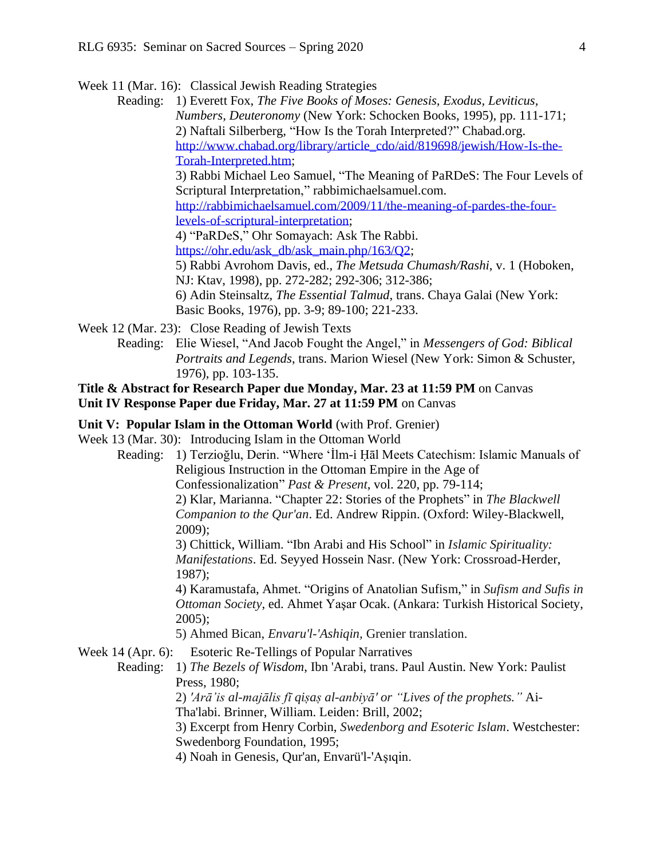Week 11 (Mar. 16): Classical Jewish Reading Strategies

Reading: 1) Everett Fox, *The Five Books of Moses: Genesis, Exodus, Leviticus, Numbers, Deuteronomy* (New York: Schocken Books, 1995), pp. 111-171; 2) Naftali Silberberg, "How Is the Torah Interpreted?" Chabad.org. [http://www.chabad.org/library/article\\_cdo/aid/819698/jewish/How-Is-the-](http://www.chabad.org/library/article_cdo/aid/819698/jewish/How-Is-the-Torah-Interpreted.htm)[Torah-Interpreted.htm;](http://www.chabad.org/library/article_cdo/aid/819698/jewish/How-Is-the-Torah-Interpreted.htm) 3) Rabbi Michael Leo Samuel, "The Meaning of PaRDeS: The Four Levels of Scriptural Interpretation," rabbimichaelsamuel.com. [http://rabbimichaelsamuel.com/2009/11/the-meaning-of-pardes-the-four](http://rabbimichaelsamuel.com/2009/11/the-meaning-of-pardes-the-four-levels-of-scriptural-interpretation)[levels-of-scriptural-interpretation;](http://rabbimichaelsamuel.com/2009/11/the-meaning-of-pardes-the-four-levels-of-scriptural-interpretation) 4) "PaRDeS," Ohr Somayach: Ask The Rabbi. [https://ohr.edu/ask\\_db/ask\\_main.php/163/Q2;](https://ohr.edu/ask_db/ask_main.php/163/Q2) 5) Rabbi Avrohom Davis, ed., *The Metsuda Chumash/Rashi*, v. 1 (Hoboken, NJ: Ktav, 1998), pp. 272-282; 292-306; 312-386; 6) Adin Steinsaltz, *The Essential Talmud*, trans. Chaya Galai (New York: Basic Books, 1976), pp. 3-9; 89-100; 221-233.

Week 12 (Mar. 23): Close Reading of Jewish Texts

Reading: Elie Wiesel, "And Jacob Fought the Angel," in *Messengers of God: Biblical Portraits and Legends*, trans. Marion Wiesel (New York: Simon & Schuster, 1976), pp. 103-135.

## **Title & Abstract for Research Paper due Monday, Mar. 23 at 11:59 PM** on Canvas **Unit IV Response Paper due Friday, Mar. 27 at 11:59 PM** on Canvas

**Unit V: Popular Islam in the Ottoman World** (with Prof. Grenier)

Week 13 (Mar. 30): Introducing Islam in the Ottoman World

Reading: 1) Terzioğlu, Derin. "Where ʻİlm-i Ḥāl Meets Catechism: Islamic Manuals of Religious Instruction in the Ottoman Empire in the Age of Confessionalization" *Past & Present*, vol. 220, pp. 79-114; 2) Klar, Marianna. "Chapter 22: Stories of the Prophets" in *The Blackwell Companion to the Qur'an*. Ed. Andrew Rippin. (Oxford: Wiley-Blackwell, 2009); 3) Chittick, William. "Ibn Arabi and His School" in *Islamic Spirituality: Manifestations*. Ed. Seyyed Hossein Nasr. (New York: Crossroad-Herder, 1987); 4) Karamustafa, Ahmet. "Origins of Anatolian Sufism," in *Sufism and Sufis in Ottoman Society*, ed. Ahmet Yaşar Ocak. (Ankara: Turkish Historical Society, 2005); 5) Ahmed Bican, *Envaru'l-'Ashiqin,* Grenier translation. Week 14 (Apr. 6): Esoteric Re-Tellings of Popular Narratives Reading: 1) *The Bezels of Wisdom*, Ibn 'Arabi, trans. Paul Austin. New York: Paulist Press, 1980; 2) *'Arā'is al-majālis fī qiṣaṣ al-anbiyā' or "Lives of the prophets."* Ai-Tha'labi. Brinner, William. Leiden: Brill, 2002; 3) Excerpt from Henry Corbin, *Swedenborg and Esoteric Islam*. Westchester:

Swedenborg Foundation, 1995;

4) Noah in Genesis, Qur'an, Envarü'l-'Aşıqin.